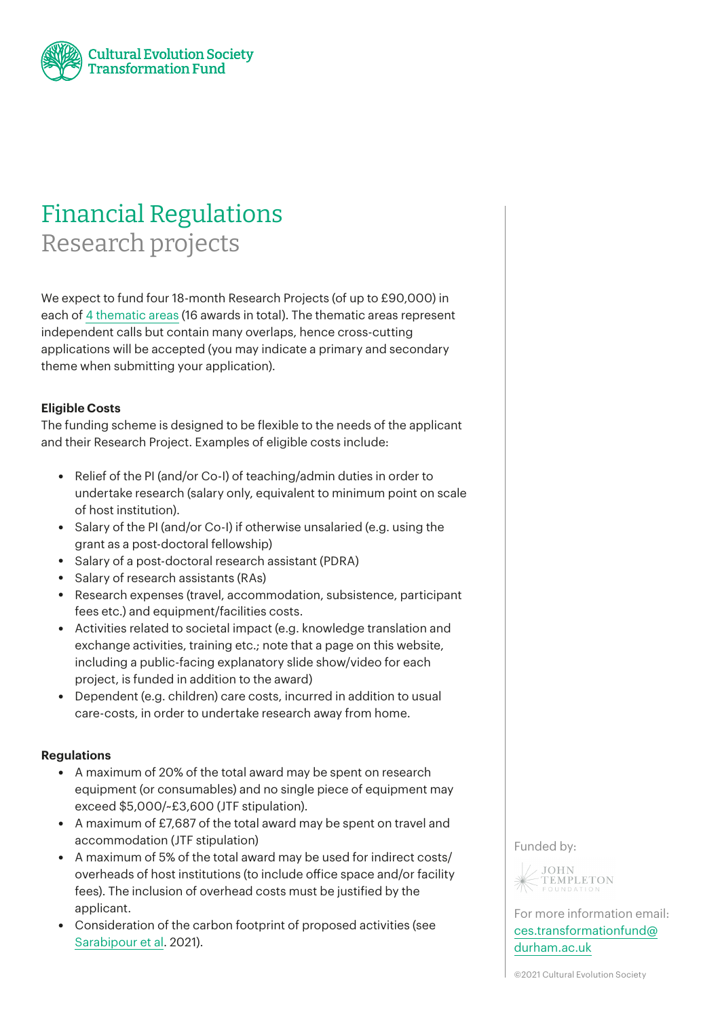

# Financial Regulations Research projects

We expect to fund four 18-month Research Projects (of up to £90,000) in each of 4 [thematic](https://ces-transformationfund.org/our-projects/) areas (16 awards in total). The thematic areas represent independent calls but contain many overlaps, hence cross-cutting applications will be accepted (you may indicate a primary and secondary theme when submitting your application).

## **Eligible Costs**

The funding scheme is designed to be flexible to the needs of the applicant and their Research Project. Examples of eligible costs include:

- Relief of the PI (and/or Co-I) of teaching/admin duties in order to undertake research (salary only, equivalent to minimum point on scale of host institution).
- Salary of the PI (and/or Co-I) if otherwise unsalaried (e.g. using the grant as a post-doctoral fellowship)
- Salary of a post-doctoral research assistant (PDRA)
- Salary of research assistants (RAs)
- Research expenses (travel, accommodation, subsistence, participant fees etc.) and equipment/facilities costs.
- Activities related to societal impact (e.g. knowledge translation and exchange activities, training etc.; note that a page on this website, including a public-facing explanatory slide show/video for each project, is funded in addition to the award)
- Dependent (e.g. children) care costs, incurred in addition to usual care-costs, in order to undertake research away from home.

### **Regulations**

- A maximum of 20% of the total award may be spent on research equipment (or consumables) and no single piece of equipment may exceed \$5,000/~£3,600 (JTF stipulation).
- A maximum of £7,687 of the total award may be spent on travel and accommodation (JTF stipulation)
- A maximum of 5% of the total award may be used for indirect costs/ overheads of host institutions (to include office space and/or facility fees). The inclusion of overhead costs must be justified by the applicant.
- Consideration of the carbon footprint of proposed activities (see [Sarabipour](https://www.nature.com/articles/s41562-021-01067-y) et al. 2021).

Funded by:



For more information email: [ces.transformationfund@](mailto:ces.transformationfund%40durham.ac.uk?subject=) [durham.ac.uk](mailto:ces.transformationfund%40durham.ac.uk?subject=)